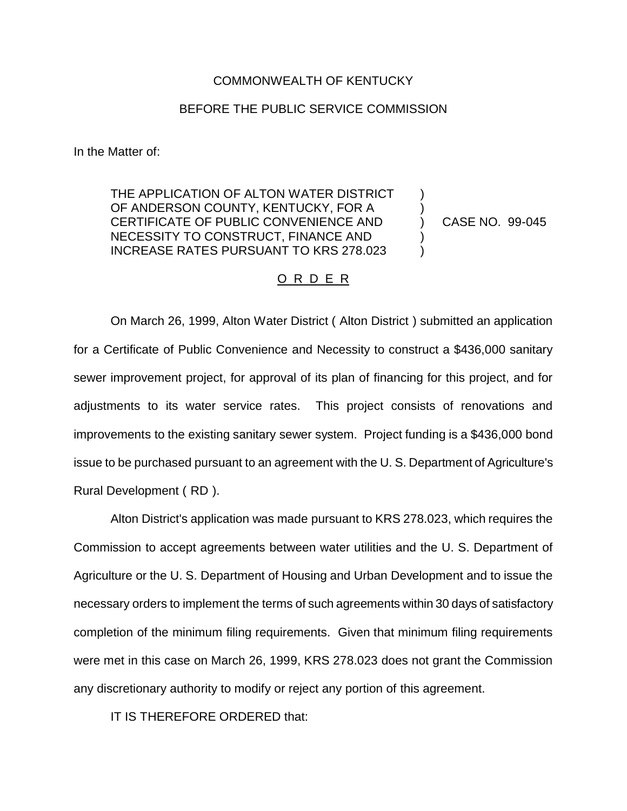#### COMMONWEALTH OF KENTUCKY

### BEFORE THE PUBLIC SERVICE COMMISSION

In the Matter of:

THE APPLICATION OF ALTON WATER DISTRICT OF ANDERSON COUNTY, KENTUCKY, FOR A CERTIFICATE OF PUBLIC CONVENIENCE AND NECESSITY TO CONSTRUCT, FINANCE AND INCREASE RATES PURSUANT TO KRS 278.023

CASE NO. 99-045

) ) ) ) )

### O R D E R

On March 26, 1999, Alton Water District ( Alton District ) submitted an application for a Certificate of Public Convenience and Necessity to construct a \$436,000 sanitary sewer improvement project, for approval of its plan of financing for this project, and for adjustments to its water service rates. This project consists of renovations and improvements to the existing sanitary sewer system. Project funding is a \$436,000 bond issue to be purchased pursuant to an agreement with the U. S. Department of Agriculture's Rural Development ( RD ).

Alton District's application was made pursuant to KRS 278.023, which requires the Commission to accept agreements between water utilities and the U. S. Department of Agriculture or the U. S. Department of Housing and Urban Development and to issue the necessary orders to implement the terms of such agreements within 30 days of satisfactory completion of the minimum filing requirements. Given that minimum filing requirements were met in this case on March 26, 1999, KRS 278.023 does not grant the Commission any discretionary authority to modify or reject any portion of this agreement.

IT IS THEREFORE ORDERED that: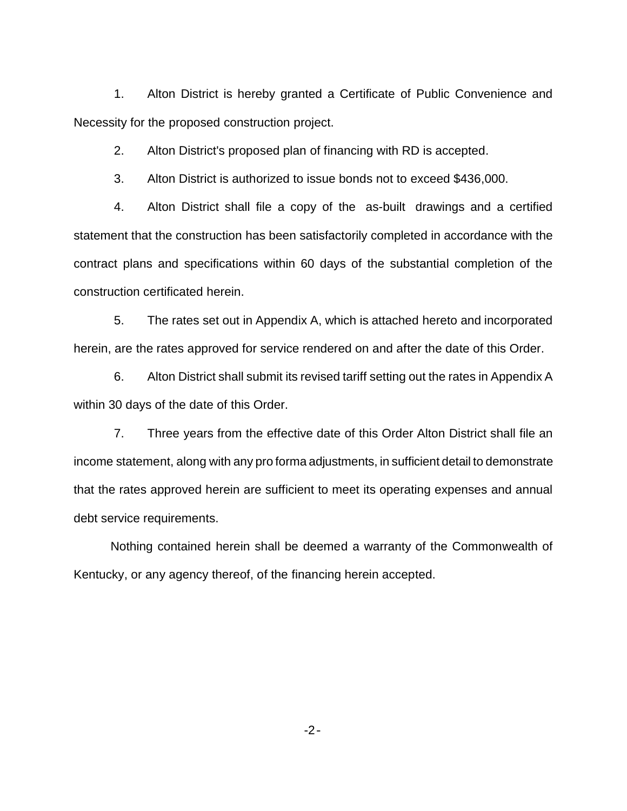1. Alton District is hereby granted a Certificate of Public Convenience and Necessity for the proposed construction project.

2. Alton District's proposed plan of financing with RD is accepted.

3. Alton District is authorized to issue bonds not to exceed \$436,000.

4. Alton District shall file a copy of the as-built drawings and a certified statement that the construction has been satisfactorily completed in accordance with the contract plans and specifications within 60 days of the substantial completion of the construction certificated herein.

5. The rates set out in Appendix A, which is attached hereto and incorporated herein, are the rates approved for service rendered on and after the date of this Order.

6. Alton District shall submit its revised tariff setting out the rates in Appendix A within 30 days of the date of this Order.

7. Three years from the effective date of this Order Alton District shall file an income statement, along with any pro forma adjustments, in sufficient detail to demonstrate that the rates approved herein are sufficient to meet its operating expenses and annual debt service requirements.

Nothing contained herein shall be deemed a warranty of the Commonwealth of Kentucky, or any agency thereof, of the financing herein accepted.

-2-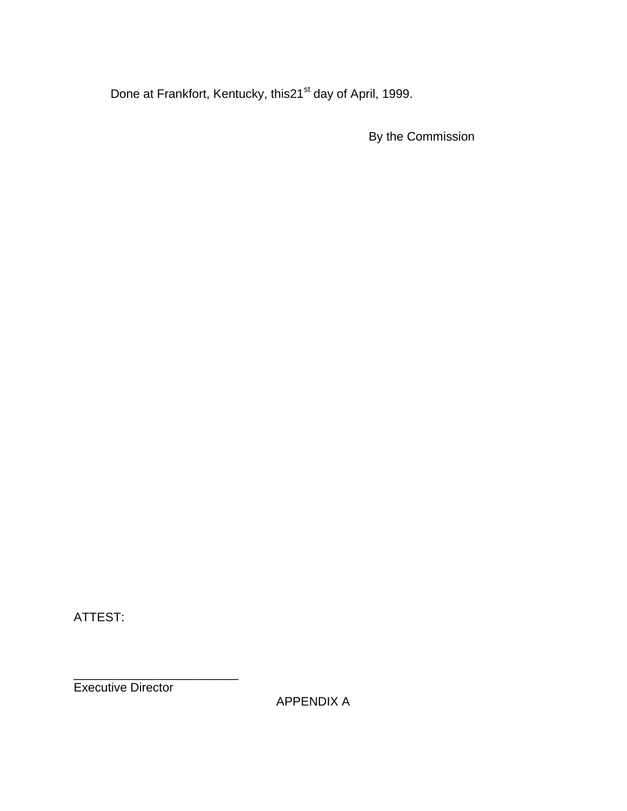Done at Frankfort, Kentucky, this21<sup>st</sup> day of April, 1999.

By the Commission

ATTEST:

Executive Director

\_\_\_\_\_\_\_\_\_\_\_\_\_\_\_\_\_\_\_\_\_\_\_\_

APPENDIX A